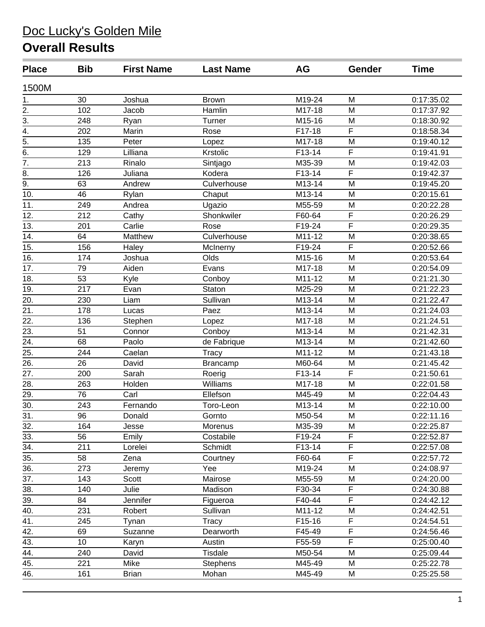| <b>Place</b>      | <b>Bib</b> | <b>First Name</b> | <b>Last Name</b> | <b>AG</b>           | Gender      | <b>Time</b> |
|-------------------|------------|-------------------|------------------|---------------------|-------------|-------------|
| 1500M             |            |                   |                  |                     |             |             |
| 1.                | 30         | Joshua            | <b>Brown</b>     | M19-24              | M           | 0:17:35.02  |
| $\overline{2}$ .  | 102        | Jacob             | Hamlin           | M17-18              | M           | 0:17:37.92  |
| $\overline{3}$ .  | 248        | Ryan              | Turner           | M15-16              | M           | 0:18:30.92  |
| $\overline{4}$ .  | 202        | Marin             | Rose             | F17-18              | F           | 0:18:58.34  |
| $\overline{5}$ .  | 135        | Peter             | Lopez            | M17-18              | M           | 0:19:40.12  |
| $\overline{6}$ .  | 129        | Lilliana          | Krstolic         | F13-14              | F           | 0:19:41.91  |
| $\overline{7}$ .  | 213        | Rinalo            | Sintjago         | M35-39              | M           | 0:19:42.03  |
| $\overline{8}$ .  | 126        | Juliana           | Kodera           | F13-14              | F           | 0:19:42.37  |
| 9.                | 63         | Andrew            | Culverhouse      | M13-14              | M           | 0:19:45.20  |
| 10.               | 46         | Rylan             | Chaput           | M13-14              | M           | 0:20:15.61  |
| 11.               | 249        | Andrea            | Ugazio           | M55-59              | M           | 0:20:22.28  |
| 12.               | 212        | Cathy             | Shonkwiler       | F60-64              | F           | 0:20:26.29  |
| 13.               | 201        | Carlie            | Rose             | F19-24              | F           | 0:20:29.35  |
| 14.               | 64         | Matthew           | Culverhouse      | M11-12              | M           | 0:20:38.65  |
| 15.               | 156        | Haley             | McInerny         | F19-24              | F           | 0:20:52.66  |
| 16.               | 174        | Joshua            | Olds             | M15-16              | M           | 0:20:53.64  |
| 17.               | 79         | Aiden             | Evans            | M17-18              | M           | 0:20:54.09  |
| 18.               | 53         | Kyle              | Conboy           | M11-12              | M           | 0:21:21.30  |
| 19.               | 217        | Evan              | Staton           | M25-29              | M           | 0:21:22.23  |
| 20.               | 230        | Liam              | Sullivan         | M13-14              | M           | 0:21:22.47  |
| $\overline{21}$ . | 178        | Lucas             | Paez             | M13-14              | M           | 0:21:24.03  |
| $\overline{22}$ . | 136        | Stephen           | Lopez            | M17-18              | M           | 0:21:24.51  |
| 23.               | 51         | Connor            | Conboy           | M13-14              | M           | 0:21:42.31  |
| $\overline{24}$ . | 68         | Paolo             | de Fabrique      | M13-14              | M           | 0:21:42.60  |
| 25.               | 244        | Caelan            | Tracy            | $\overline{M11-12}$ | M           | 0:21:43.18  |
| 26.               | 26         | David             | Brancamp         | M60-64              | M           | 0:21:45.42  |
| 27.               | 200        | Sarah             | Roerig           | F13-14              | F           | 0:21:50.61  |
| 28.               | 263        | Holden            | Williams         | M17-18              | M           | 0:22:01.58  |
| 29.               | 76         | Carl              | Ellefson         | M45-49              | M           | 0:22:04.43  |
| $\overline{30}$ . | 243        | Fernando          | Toro-Leon        | M13-14              | M           | 0:22:10.00  |
| 31.               | 96         | Donald            | Gornto           | M50-54              | M           | 0:22:11.16  |
| 32.               | 164        | Jesse             | Morenus          | M35-39              | M           | 0:22:25.87  |
| 33.               | 56         | Emily             | Costabile        | F19-24              | F           | 0:22:52.87  |
| 34.               | 211        | Lorelei           | Schmidt          | F13-14              | F           | 0:22:57.08  |
| 35.               | 58         | Zena              | Courtney         | F60-64              | $\mathsf F$ | 0:22:57.72  |
| 36.               | 273        | Jeremy            | Yee              | M19-24              | M           | 0:24:08.97  |
| 37.               | 143        | Scott             | Mairose          | M55-59              | M           | 0:24:20.00  |
| 38.               | 140        | Julie             | Madison          | F30-34              | F           | 0:24:30.88  |
| $\overline{39}$ . | 84         | Jennifer          | Figueroa         | F40-44              | F           | 0:24:42.12  |
| 40.               | 231        | Robert            | Sullivan         | M11-12              | M           | 0:24:42.51  |
| 41.               | 245        | Tynan             | <b>Tracy</b>     | F15-16              | F           | 0:24:54.51  |
| 42.               | 69         | Suzanne           | Dearworth        | F45-49              | F           | 0:24:56.46  |
| 43.               | 10         | Karyn             | Austin           | F55-59              | F           | 0:25:00.40  |
| 44.               | 240        | David             | <b>Tisdale</b>   | M50-54              | M           | 0:25:09.44  |
| 45.               | 221        | Mike              | <b>Stephens</b>  | M45-49              | M           | 0:25:22.78  |
| $\overline{46}$ . | 161        | <b>Brian</b>      | Mohan            | M45-49              | M           | 0:25:25.58  |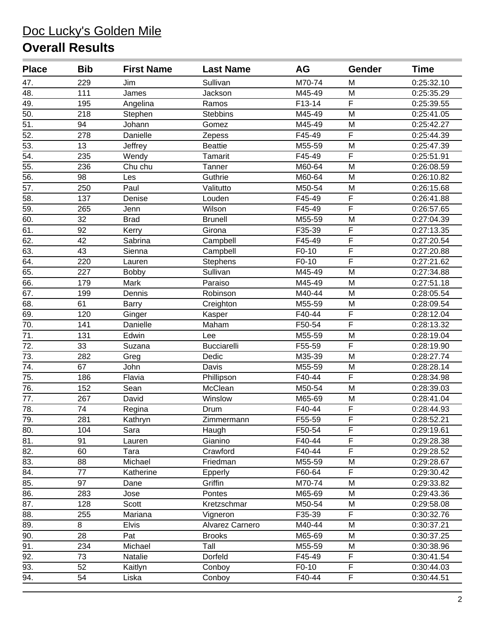| <b>Place</b>      | <b>Bib</b>       | <b>First Name</b> | <b>Last Name</b>   | <b>AG</b> | Gender                  | <b>Time</b> |
|-------------------|------------------|-------------------|--------------------|-----------|-------------------------|-------------|
| 47.               | 229              | Jim               | Sullivan           | M70-74    | M                       | 0:25:32.10  |
| $\overline{48.}$  | 111              | James             | Jackson            | M45-49    | M                       | 0:25:35.29  |
| 49.               | 195              | Angelina          | Ramos              | F13-14    | F                       | 0:25:39.55  |
| 50.               | 218              | Stephen           | <b>Stebbins</b>    | M45-49    | M                       | 0:25:41.05  |
| $\overline{51}$   | 94               | Johann            | Gomez              | M45-49    | M                       | 0:25:42.27  |
| 52.               | 278              | Danielle          | Zepess             | F45-49    | $\overline{F}$          | 0:25:44.39  |
| 53.               | 13               | Jeffrey           | <b>Beattie</b>     | M55-59    | M                       | 0:25:47.39  |
| 54.               | 235              | Wendy             | <b>Tamarit</b>     | F45-49    | F                       | 0:25:51.91  |
| $\overline{55}$ . | 236              | Chu chu           | Tanner             | M60-64    | M                       | 0:26:08.59  |
| $\overline{56}$ . | 98               | Les               | Guthrie            | M60-64    | M                       | 0:26:10.82  |
| 57.               | 250              | Paul              | Valitutto          | M50-54    | M                       | 0:26:15.68  |
| $\overline{58}$ . | 137              | Denise            | Louden             | F45-49    | $\overline{F}$          | 0:26:41.88  |
| 59.               | 265              | Jenn              | Wilson             | F45-49    | $\overline{\mathsf{F}}$ | 0:26:57.65  |
| 60.               | 32               | <b>Brad</b>       | <b>Brunell</b>     | M55-59    | M                       | 0:27:04.39  |
| 61.               | 92               | Kerry             | Girona             | F35-39    | $\overline{\mathsf{F}}$ | 0:27:13.35  |
| 62.               | 42               | Sabrina           | Campbell           | F45-49    | $\overline{F}$          | 0:27:20.54  |
| 63.               | 43               | Sienna            | Campbell           | F0-10     | $\overline{\mathsf{F}}$ | 0:27:20.88  |
| 64.               | 220              | Lauren            | <b>Stephens</b>    | F0-10     | $\overline{F}$          | 0:27:21.62  |
| 65.               | 227              | <b>Bobby</b>      | Sullivan           | M45-49    | M                       | 0:27:34.88  |
| 66.               | 179              | Mark              | Paraiso            | M45-49    | M                       | 0:27:51.18  |
| 67.               | 199              | Dennis            | Robinson           | M40-44    | M                       | 0:28:05.54  |
| 68.               | 61               | Barry             | Creighton          | M55-59    | M                       | 0:28:09.54  |
| 69.               | 120              | Ginger            | Kasper             | F40-44    | $\overline{F}$          | 0:28:12.04  |
| 70.               | 141              | Danielle          | Maham              | F50-54    | $\overline{F}$          | 0:28:13.32  |
| $\overline{71}$ . | 131              | Edwin             | Lee                | M55-59    | M                       | 0:28:19.04  |
| 72.               | 33               | Suzana            | <b>Bucciarelli</b> | F55-59    | F                       | 0:28:19.90  |
| 73.               | 282              | Greg              | Dedic              | M35-39    | M                       | 0:28:27.74  |
| 74.               | 67               | John              | Davis              | M55-59    | M                       | 0:28:28.14  |
| $\overline{75}$ . | 186              | Flavia            | Phillipson         | F40-44    | $\overline{\mathsf{F}}$ | 0:28:34.98  |
| 76.               | 152              | Sean              | McClean            | M50-54    | M                       | 0:28:39.03  |
| 77.               | 267              | David             | Winslow            | M65-69    | M                       | 0:28:41.04  |
| 78.               | 74               | Regina            | Drum               | F40-44    | F                       | 0:28:44.93  |
| $\overline{79.}$  | $\overline{281}$ | Kathryn           | Zimmermann         | F55-59    | $\overline{F}$          | 0:28:52.21  |
| 80.               | 104              | Sara              | Haugh              | F50-54    | F                       | 0:29:19.61  |
| 81.               | 91               | Lauren            | Gianino            | F40-44    | F                       | 0:29:28.38  |
| 82.               | 60               | Tara              | Crawford           | F40-44    | F                       | 0:29:28.52  |
| 83.               | 88               | Michael           | Friedman           | M55-59    | M                       | 0:29:28.67  |
| 84.               | 77               | Katherine         | Epperly            | F60-64    | F                       | 0:29:30.42  |
| 85.               | 97               | Dane              | Griffin            | M70-74    | M                       | 0:29:33.82  |
| 86.               | 283              | Jose              | Pontes             | M65-69    | M                       | 0:29:43.36  |
| 87.               | 128              | Scott             | Kretzschmar        | M50-54    | M                       | 0:29:58.08  |
| 88.               | 255              | Mariana           | Vigneron           | F35-39    | F                       | 0:30:32.76  |
| 89.               | 8                | <b>Elvis</b>      | Alvarez Carnero    | M40-44    | M                       | 0:30:37.21  |
| 90.               | 28               | Pat               | <b>Brooks</b>      | M65-69    | M                       | 0:30:37.25  |
| 91.               | 234              | Michael           | Tall               | M55-59    | M                       | 0:30:38.96  |
| 92.               | 73               | Natalie           | Dorfeld            | F45-49    | F                       | 0:30:41.54  |
| 93.               | 52               | Kaitlyn           | Conboy             | F0-10     | F                       | 0:30:44.03  |
| 94.               | 54               | Liska             | Conboy             | F40-44    | F                       | 0:30:44.51  |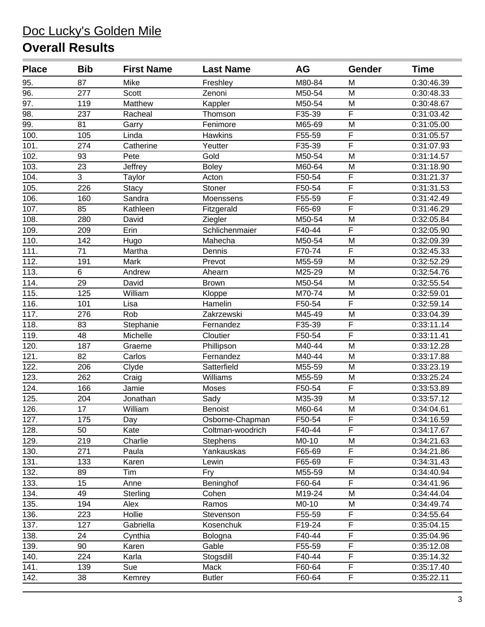| <b>Place</b>      | <b>Bib</b> | <b>First Name</b> | <b>Last Name</b> | <b>AG</b> | Gender                  | <b>Time</b> |
|-------------------|------------|-------------------|------------------|-----------|-------------------------|-------------|
| 95.               | 87         | Mike              | Freshley         | M80-84    | M                       | 0:30:46.39  |
| 96.               | 277        | Scott             | Zenoni           | M50-54    | M                       | 0:30:48.33  |
| $\overline{97}$ . | 119        | Matthew           | Kappler          | M50-54    | M                       | 0:30:48.67  |
| 98.               | 237        | Racheal           | Thomson          | F35-39    | F                       | 0:31:03.42  |
| 99.               | 81         | Garry             | Fenimore         | M65-69    | M                       | 0:31:05.00  |
| 100.              | 105        | Linda             | <b>Hawkins</b>   | F55-59    | F                       | 0:31:05.57  |
| 101.              | 274        | Catherine         | Yeutter          | F35-39    | $\overline{\mathsf{F}}$ | 0:31:07.93  |
| 102.              | 93         | Pete              | Gold             | M50-54    | M                       | 0:31:14.57  |
| 103.              | 23         | Jeffrey           | <b>Boley</b>     | M60-64    | M                       | 0:31:18.90  |
| 104.              | 3          | Taylor            | Acton            | F50-54    | $\overline{F}$          | 0:31:21.37  |
| 105.              | 226        | <b>Stacy</b>      | Stoner           | F50-54    | F                       | 0:31:31.53  |
| 106.              | 160        | Sandra            | Moenssens        | F55-59    | $\overline{F}$          | 0:31:42.49  |
| 107.              | 85         | Kathleen          | Fitzgerald       | F65-69    | F                       | 0:31:46.29  |
| 108.              | 280        | David             | Ziegler          | M50-54    | M                       | 0:32:05.84  |
| 109.              | 209        | Erin              | Schlichenmaier   | F40-44    | $\overline{\mathsf{F}}$ | 0:32:05.90  |
| 110.              | 142        | Hugo              | Mahecha          | M50-54    | M                       | 0:32:09.39  |
| 111.              | 71         | Martha            | Dennis           | F70-74    | F                       | 0:32:45.33  |
| 112.              | 191        | Mark              | Prevot           | M55-59    | M                       | 0:32:52.29  |
| 113.              | 6          | Andrew            | Ahearn           | M25-29    | M                       | 0:32:54.76  |
| 114.              | 29         | David             | <b>Brown</b>     | M50-54    | M                       | 0:32:55.54  |
| 115.              | 125        | William           | Kloppe           | M70-74    | M                       | 0:32:59.01  |
| 116.              | 101        | Lisa              | Hamelin          | F50-54    | F                       | 0:32:59.14  |
| 117.              | 276        | Rob               | Zakrzewski       | M45-49    | M                       | 0:33:04.39  |
| 118.              | 83         | Stephanie         | Fernandez        | F35-39    | $\overline{F}$          | 0:33:11.14  |
| 119.              | 48         | Michelle          | Cloutier         | F50-54    | $\overline{\mathsf{F}}$ | 0:33:11.41  |
| 120.              | 187        | Graeme            | Phillipson       | M40-44    | M                       | 0:33:12.28  |
| 121.              | 82         | Carlos            | Fernandez        | M40-44    | M                       | 0:33:17.88  |
| 122.              | 206        | Clyde             | Satterfield      | M55-59    | M                       | 0:33:23.19  |
| 123.              | 262        | Craig             | Williams         | M55-59    | M                       | 0:33:25.24  |
| 124.              | 166        | Jamie             | Moses            | F50-54    | $\overline{F}$          | 0:33:53.89  |
| 125.              | 204        | Jonathan          | Sady             | M35-39    | M                       | 0:33:57.12  |
| 126.              | 17         | William           | <b>Benoist</b>   | M60-64    | M                       | 0:34:04.61  |
| 127.              | 175        | Day               | Osborne-Chapman  | F50-54    | $\overline{F}$          | 0:34:16.59  |
| 128.              | 50         | Kate              | Coltman-woodrich | F40-44    | F                       | 0:34:17.67  |
| 129.              | 219        | Charlie           | <b>Stephens</b>  | M0-10     | M                       | 0:34:21.63  |
| 130.              | 271        | Paula             | Yankauskas       | F65-69    | F                       | 0:34:21.86  |
| 131.              | 133        | Karen             | Lewin            | F65-69    | F                       | 0:34:31.43  |
| 132.              | 89         | Tim               | Fry              | M55-59    | M                       | 0:34:40.94  |
| 133.              | 15         | Anne              | Beninghof        | F60-64    | F                       | 0:34:41.96  |
| 134.              | 49         | Sterling          | Cohen            | M19-24    | M                       | 0:34:44.04  |
| 135.              | 194        | Alex              | Ramos            | M0-10     | M                       | 0:34:49.74  |
| 136.              | 223        | Hollie            | Stevenson        | F55-59    | F                       | 0:34:55.64  |
| 137.              | 127        | Gabriella         | Kosenchuk        | F19-24    | $\overline{\mathsf{F}}$ | 0:35:04.15  |
| 138.              | 24         | Cynthia           | Bologna          | F40-44    | $\mathsf F$             | 0:35:04.96  |
| 139.              | 90         | Karen             | Gable            | F55-59    | F                       | 0:35:12.08  |
| 140.              | 224        | Karla             | Stogsdill        | F40-44    | F                       | 0:35:14.32  |
| 141.              | 139        | Sue               | Mack             | F60-64    | $\overline{\mathsf{F}}$ | 0:35:17.40  |
| 142.              | 38         | Kemrey            | <b>Butler</b>    | F60-64    | F                       | 0:35:22.11  |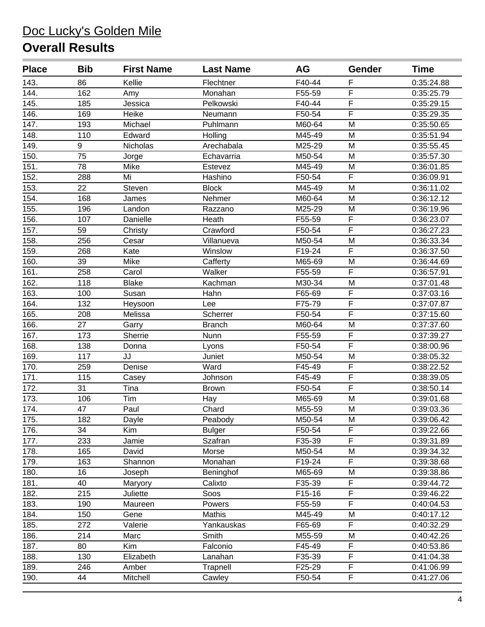| <b>Place</b> | <b>Bib</b> | <b>First Name</b> | <b>Last Name</b> | AG     | Gender                  | Time       |
|--------------|------------|-------------------|------------------|--------|-------------------------|------------|
| 143.         | 86         | Kellie            | Flechtner        | F40-44 | F                       | 0:35:24.88 |
| 144.         | 162        | Amy               | Monahan          | F55-59 | F                       | 0:35:25.79 |
| 145.         | 185        | Jessica           | Pelkowski        | F40-44 | $\overline{F}$          | 0:35:29.15 |
| 146.         | 169        | Heike             | Neumann          | F50-54 | $\overline{F}$          | 0:35:29.35 |
| 147.         | 193        | Michael           | Puhlmann         | M60-64 | M                       | 0:35:50.65 |
| 148.         | 110        | Edward            | Holling          | M45-49 | M                       | 0:35:51.94 |
| 149.         | 9          | <b>Nicholas</b>   | Arechabala       | M25-29 | M                       | 0:35:55.45 |
| 150.         | 75         | Jorge             | Echavarria       | M50-54 | M                       | 0:35:57.30 |
| 151.         | 78         | Mike              | Estevez          | M45-49 | M                       | 0:36:01.85 |
| 152.         | 288        | Mi                | Hashino          | F50-54 | $\overline{F}$          | 0:36:09.91 |
| 153.         | 22         | Steven            | <b>Block</b>     | M45-49 | M                       | 0:36:11.02 |
| 154.         | 168        | James             | Nehmer           | M60-64 | M                       | 0:36:12.12 |
| 155.         | 196        | Landon            | Razzano          | M25-29 | M                       | 0:36:19.96 |
| 156.         | 107        | Danielle          | Heath            | F55-59 | $\overline{\mathsf{F}}$ | 0:36:23.07 |
| 157.         | 59         | Christy           | Crawford         | F50-54 | $\overline{\mathsf{F}}$ | 0:36:27.23 |
| 158.         | 256        | Cesar             | Villanueva       | M50-54 | M                       | 0:36:33.34 |
| 159.         | 268        | Kate              | Winslow          | F19-24 | F                       | 0:36:37.50 |
| 160.         | 39         | Mike              | Cafferty         | M65-69 | M                       | 0:36:44.69 |
| 161.         | 258        | Carol             | Walker           | F55-59 | $\overline{F}$          | 0:36:57.91 |
| 162.         | 118        | <b>Blake</b>      | Kachman          | M30-34 | M                       | 0:37:01.48 |
| 163.         | 100        | Susan             | Hahn             | F65-69 | $\overline{F}$          | 0:37:03.16 |
| 164.         | 132        | Heysoon           | Lee              | F75-79 | F                       | 0:37:07.87 |
| 165.         | 208        | Melissa           | Scherrer         | F50-54 | $\overline{\mathsf{F}}$ | 0:37:15.60 |
| 166.         | 27         | Garry             | <b>Branch</b>    | M60-64 | M                       | 0:37:37.60 |
| 167.         | 173        | Sherrie           | Nunn             | F55-59 | $\overline{\mathsf{F}}$ | 0:37:39.27 |
| 168.         | 138        | Donna             | Lyons            | F50-54 | $\overline{F}$          | 0:38:00.96 |
| 169.         | 117        | JJ                | Juniet           | M50-54 | M                       | 0:38:05.32 |
| 170.         | 259        | Denise            | Ward             | F45-49 | $\overline{F}$          | 0:38:22.52 |
| 171.         | 115        | Casey             | Johnson          | F45-49 | $\overline{\mathsf{F}}$ | 0:38:39.05 |
| 172.         | 31         | Tina              | <b>Brown</b>     | F50-54 | $\overline{F}$          | 0:38:50.14 |
| 173.         | 106        | Tim               | Hay              | M65-69 | M                       | 0:39:01.68 |
| 174.         | 47         | Paul              | Chard            | M55-59 | M                       | 0:39:03.36 |
| 175.         | 182        | Dayle             | Peabody          | M50-54 | M                       | 0:39:06.42 |
| 176.         | 34         | Kim               | <b>Bulger</b>    | F50-54 | F                       | 0:39:22.66 |
| 177.         | 233        | Jamie             | Szafran          | F35-39 | F                       | 0:39:31.89 |
| 178.         | 165        | David             | Morse            | M50-54 | M                       | 0:39:34.32 |
| 179.         | 163        | Shannon           | Monahan          | F19-24 | F                       | 0:39:38.68 |
| 180.         | 16         | Joseph            | Beninghof        | M65-69 | M                       | 0:39:38.86 |
| 181.         | 40         | Maryory           | Calixto          | F35-39 | F                       | 0:39:44.72 |
| 182.         | 215        | Juliette          | Soos             | F15-16 | F                       | 0:39:46.22 |
| 183.         | 190        | Maureen           | Powers           | F55-59 | F                       | 0:40:04.53 |
| 184.         | 150        | Gene              | Mathis           | M45-49 | M                       | 0:40:17.12 |
| 185.         | 272        | Valerie           | Yankauskas       | F65-69 | F                       | 0:40:32.29 |
| 186.         | 214        | Marc              | Smith            | M55-59 | M                       | 0:40:42.26 |
| 187.         | 80         | Kim               | Falconio         | F45-49 | F                       | 0:40:53.86 |
| 188.         | 130        | Elizabeth         | Lanahan          | F35-39 | F                       | 0:41:04.38 |
| 189.         | 246        | Amber             | Trapnell         | F25-29 | $\overline{F}$          | 0:41:06.99 |
| 190.         | 44         | Mitchell          | Cawley           | F50-54 | F                       | 0:41:27.06 |